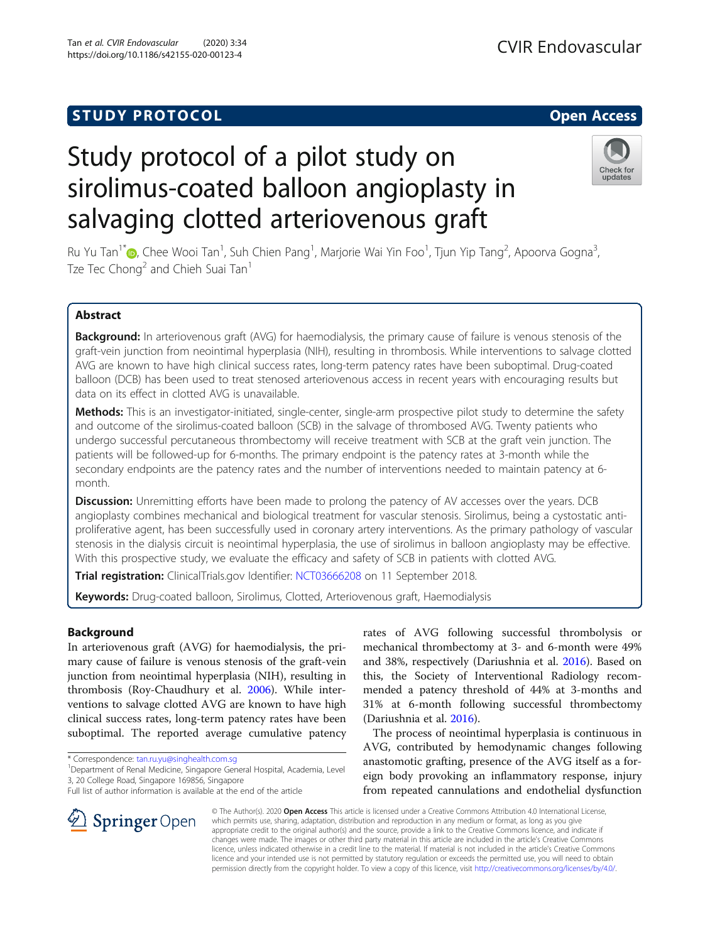https://doi.org/10.1186/s42155-020-00123-4

# Study protocol of a pilot study on sirolimus-coated balloon angioplasty in salvaging clotted arteriovenous graft



Ru Yu Tan<sup>1\*</sup>©[,](http://orcid.org/0000-0003-1491-2302) Chee Wooi Tan<sup>1</sup>, Suh Chien Pang<sup>1</sup>, Marjorie Wai Yin Foo<sup>1</sup>, Tjun Yip Tang<sup>2</sup>, Apoorva Gogna<sup>3</sup> , Tze Tec Chong<sup>2</sup> and Chieh Suai Tan<sup>1</sup>

# Abstract

Background: In arteriovenous graft (AVG) for haemodialysis, the primary cause of failure is venous stenosis of the graft-vein junction from neointimal hyperplasia (NIH), resulting in thrombosis. While interventions to salvage clotted AVG are known to have high clinical success rates, long-term patency rates have been suboptimal. Drug-coated balloon (DCB) has been used to treat stenosed arteriovenous access in recent years with encouraging results but data on its effect in clotted AVG is unavailable.

Methods: This is an investigator-initiated, single-center, single-arm prospective pilot study to determine the safety and outcome of the sirolimus-coated balloon (SCB) in the salvage of thrombosed AVG. Twenty patients who undergo successful percutaneous thrombectomy will receive treatment with SCB at the graft vein junction. The patients will be followed-up for 6-months. The primary endpoint is the patency rates at 3-month while the secondary endpoints are the patency rates and the number of interventions needed to maintain patency at 6 month.

**Discussion:** Unremitting efforts have been made to prolong the patency of AV accesses over the years. DCB angioplasty combines mechanical and biological treatment for vascular stenosis. Sirolimus, being a cystostatic antiproliferative agent, has been successfully used in coronary artery interventions. As the primary pathology of vascular stenosis in the dialysis circuit is neointimal hyperplasia, the use of sirolimus in balloon angioplasty may be effective. With this prospective study, we evaluate the efficacy and safety of SCB in patients with clotted AVG.

Trial registration: ClinicalTrials.gov Identifier: [NCT03666208](https://clinicaltrials.gov/ct2/show/NCT03666208?term=NCT03666208&draw=2&rank=1) on 11 September 2018.

Keywords: Drug-coated balloon, Sirolimus, Clotted, Arteriovenous graft, Haemodialysis

# Background

In arteriovenous graft (AVG) for haemodialysis, the primary cause of failure is venous stenosis of the graft-vein junction from neointimal hyperplasia (NIH), resulting in thrombosis (Roy-Chaudhury et al. [2006](#page-4-0)). While interventions to salvage clotted AVG are known to have high clinical success rates, long-term patency rates have been suboptimal. The reported average cumulative patency

\* Correspondence: [tan.ru.yu@singhealth.com.sg](mailto:tan.ru.yu@singhealth.com.sg) <sup>1</sup>

SpringerOpen

<sup>1</sup> Department of Renal Medicine, Singapore General Hospital, Academia, Level 3, 20 College Road, Singapore 169856, Singapore

Full list of author information is available at the end of the article

rates of AVG following successful thrombolysis or mechanical thrombectomy at 3- and 6-month were 49% and 38%, respectively (Dariushnia et al. [2016\)](#page-4-0). Based on this, the Society of Interventional Radiology recommended a patency threshold of 44% at 3-months and 31% at 6-month following successful thrombectomy (Dariushnia et al. [2016\)](#page-4-0).

The process of neointimal hyperplasia is continuous in AVG, contributed by hemodynamic changes following anastomotic grafting, presence of the AVG itself as a foreign body provoking an inflammatory response, injury from repeated cannulations and endothelial dysfunction

© The Author(s). 2020 Open Access This article is licensed under a Creative Commons Attribution 4.0 International License, which permits use, sharing, adaptation, distribution and reproduction in any medium or format, as long as you give appropriate credit to the original author(s) and the source, provide a link to the Creative Commons licence, and indicate if changes were made. The images or other third party material in this article are included in the article's Creative Commons licence, unless indicated otherwise in a credit line to the material. If material is not included in the article's Creative Commons licence and your intended use is not permitted by statutory regulation or exceeds the permitted use, you will need to obtain permission directly from the copyright holder. To view a copy of this licence, visit <http://creativecommons.org/licenses/by/4.0/>.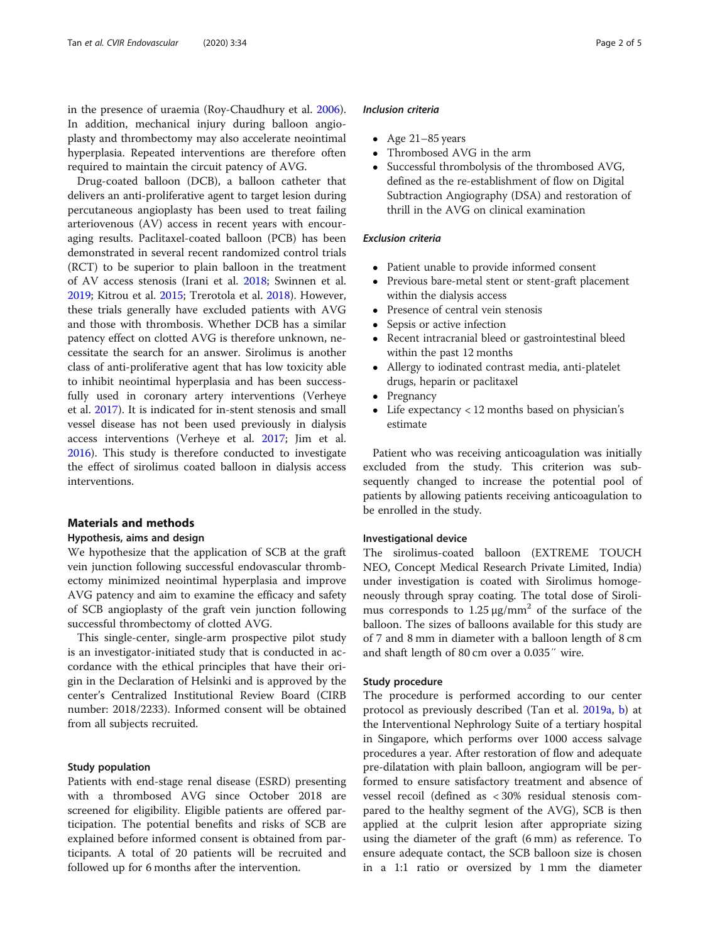in the presence of uraemia (Roy-Chaudhury et al. [2006](#page-4-0)). In addition, mechanical injury during balloon angioplasty and thrombectomy may also accelerate neointimal hyperplasia. Repeated interventions are therefore often required to maintain the circuit patency of AVG.

Drug-coated balloon (DCB), a balloon catheter that delivers an anti-proliferative agent to target lesion during percutaneous angioplasty has been used to treat failing arteriovenous (AV) access in recent years with encouraging results. Paclitaxel-coated balloon (PCB) has been demonstrated in several recent randomized control trials (RCT) to be superior to plain balloon in the treatment of AV access stenosis (Irani et al. [2018;](#page-4-0) Swinnen et al. [2019](#page-4-0); Kitrou et al. [2015;](#page-4-0) Trerotola et al. [2018](#page-4-0)). However, these trials generally have excluded patients with AVG and those with thrombosis. Whether DCB has a similar patency effect on clotted AVG is therefore unknown, necessitate the search for an answer. Sirolimus is another class of anti-proliferative agent that has low toxicity able to inhibit neointimal hyperplasia and has been successfully used in coronary artery interventions (Verheye et al. [2017](#page-4-0)). It is indicated for in-stent stenosis and small vessel disease has not been used previously in dialysis access interventions (Verheye et al. [2017](#page-4-0); Jim et al. [2016](#page-4-0)). This study is therefore conducted to investigate the effect of sirolimus coated balloon in dialysis access interventions.

#### Materials and methods

### Hypothesis, aims and design

We hypothesize that the application of SCB at the graft vein junction following successful endovascular thrombectomy minimized neointimal hyperplasia and improve AVG patency and aim to examine the efficacy and safety of SCB angioplasty of the graft vein junction following successful thrombectomy of clotted AVG.

This single-center, single-arm prospective pilot study is an investigator-initiated study that is conducted in accordance with the ethical principles that have their origin in the Declaration of Helsinki and is approved by the center's Centralized Institutional Review Board (CIRB number: 2018/2233). Informed consent will be obtained from all subjects recruited.

### Study population

Patients with end-stage renal disease (ESRD) presenting with a thrombosed AVG since October 2018 are screened for eligibility. Eligible patients are offered participation. The potential benefits and risks of SCB are explained before informed consent is obtained from participants. A total of 20 patients will be recruited and followed up for 6 months after the intervention.

#### Inclusion criteria

- $\bullet$  Age 21–85 years
- Thrombosed AVG in the arm
- Successful thrombolysis of the thrombosed AVG, defined as the re-establishment of flow on Digital Subtraction Angiography (DSA) and restoration of thrill in the AVG on clinical examination

# Exclusion criteria

- Patient unable to provide informed consent
- Previous bare-metal stent or stent-graft placement within the dialysis access
- Presence of central vein stenosis
- Sepsis or active infection
- Recent intracranial bleed or gastrointestinal bleed within the past 12 months
- Allergy to iodinated contrast media, anti-platelet drugs, heparin or paclitaxel
- Pregnancy
- Life expectancy < 12 months based on physician's estimate

Patient who was receiving anticoagulation was initially excluded from the study. This criterion was subsequently changed to increase the potential pool of patients by allowing patients receiving anticoagulation to be enrolled in the study.

# Investigational device

The sirolimus-coated balloon (EXTREME TOUCH NEO, Concept Medical Research Private Limited, India) under investigation is coated with Sirolimus homogeneously through spray coating. The total dose of Sirolimus corresponds to  $1.25 \mu g/mm^2$  of the surface of the balloon. The sizes of balloons available for this study are of 7 and 8 mm in diameter with a balloon length of 8 cm and shaft length of 80 cm over a 0.035″ wire.

# Study procedure

The procedure is performed according to our center protocol as previously described (Tan et al. [2019a](#page-4-0), [b](#page-4-0)) at the Interventional Nephrology Suite of a tertiary hospital in Singapore, which performs over 1000 access salvage procedures a year. After restoration of flow and adequate pre-dilatation with plain balloon, angiogram will be performed to ensure satisfactory treatment and absence of vessel recoil (defined as < 30% residual stenosis compared to the healthy segment of the AVG), SCB is then applied at the culprit lesion after appropriate sizing using the diameter of the graft (6 mm) as reference. To ensure adequate contact, the SCB balloon size is chosen in a 1:1 ratio or oversized by 1 mm the diameter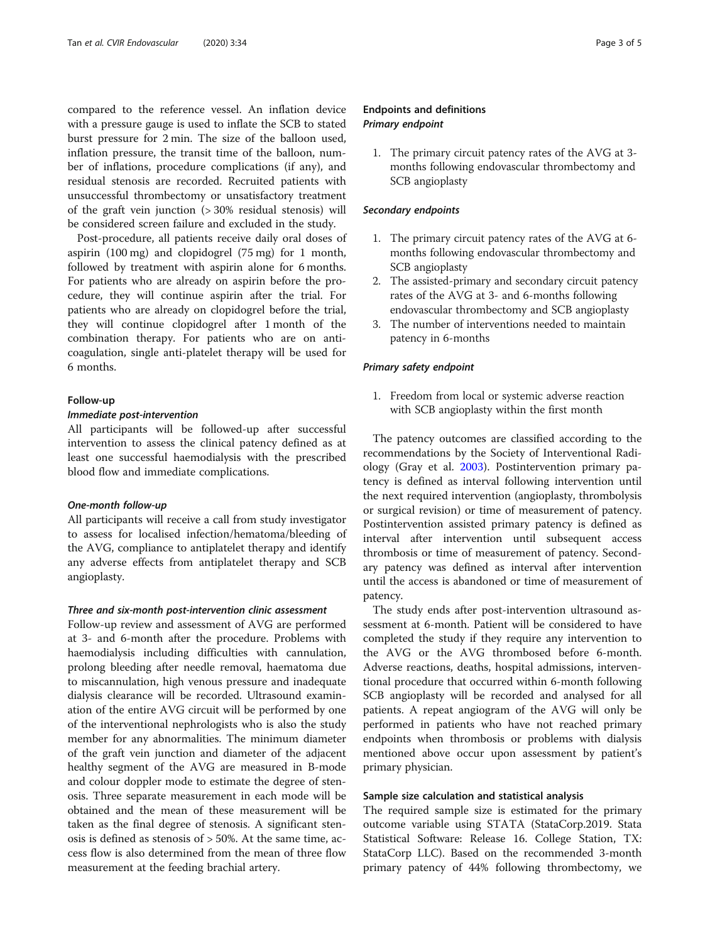compared to the reference vessel. An inflation device with a pressure gauge is used to inflate the SCB to stated burst pressure for 2 min. The size of the balloon used, inflation pressure, the transit time of the balloon, number of inflations, procedure complications (if any), and residual stenosis are recorded. Recruited patients with unsuccessful thrombectomy or unsatisfactory treatment of the graft vein junction (> 30% residual stenosis) will be considered screen failure and excluded in the study.

Post-procedure, all patients receive daily oral doses of aspirin (100 mg) and clopidogrel (75 mg) for 1 month, followed by treatment with aspirin alone for 6 months. For patients who are already on aspirin before the procedure, they will continue aspirin after the trial. For patients who are already on clopidogrel before the trial, they will continue clopidogrel after 1 month of the combination therapy. For patients who are on anticoagulation, single anti-platelet therapy will be used for 6 months.

#### Follow-up

# Immediate post-intervention

All participants will be followed-up after successful intervention to assess the clinical patency defined as at least one successful haemodialysis with the prescribed blood flow and immediate complications.

#### One-month follow-up

All participants will receive a call from study investigator to assess for localised infection/hematoma/bleeding of the AVG, compliance to antiplatelet therapy and identify any adverse effects from antiplatelet therapy and SCB angioplasty.

## Three and six-month post-intervention clinic assessment

Follow-up review and assessment of AVG are performed at 3- and 6-month after the procedure. Problems with haemodialysis including difficulties with cannulation, prolong bleeding after needle removal, haematoma due to miscannulation, high venous pressure and inadequate dialysis clearance will be recorded. Ultrasound examination of the entire AVG circuit will be performed by one of the interventional nephrologists who is also the study member for any abnormalities. The minimum diameter of the graft vein junction and diameter of the adjacent healthy segment of the AVG are measured in B-mode and colour doppler mode to estimate the degree of stenosis. Three separate measurement in each mode will be obtained and the mean of these measurement will be taken as the final degree of stenosis. A significant stenosis is defined as stenosis of > 50%. At the same time, access flow is also determined from the mean of three flow measurement at the feeding brachial artery.

# Endpoints and definitions Primary endpoint

1. The primary circuit patency rates of the AVG at 3 months following endovascular thrombectomy and SCB angioplasty

#### Secondary endpoints

- 1. The primary circuit patency rates of the AVG at 6 months following endovascular thrombectomy and SCB angioplasty
- 2. The assisted-primary and secondary circuit patency rates of the AVG at 3- and 6-months following endovascular thrombectomy and SCB angioplasty
- 3. The number of interventions needed to maintain patency in 6-months

#### Primary safety endpoint

1. Freedom from local or systemic adverse reaction with SCB angioplasty within the first month

The patency outcomes are classified according to the recommendations by the Society of Interventional Radiology (Gray et al. [2003\)](#page-4-0). Postintervention primary patency is defined as interval following intervention until the next required intervention (angioplasty, thrombolysis or surgical revision) or time of measurement of patency. Postintervention assisted primary patency is defined as interval after intervention until subsequent access thrombosis or time of measurement of patency. Secondary patency was defined as interval after intervention until the access is abandoned or time of measurement of patency.

The study ends after post-intervention ultrasound assessment at 6-month. Patient will be considered to have completed the study if they require any intervention to the AVG or the AVG thrombosed before 6-month. Adverse reactions, deaths, hospital admissions, interventional procedure that occurred within 6-month following SCB angioplasty will be recorded and analysed for all patients. A repeat angiogram of the AVG will only be performed in patients who have not reached primary endpoints when thrombosis or problems with dialysis mentioned above occur upon assessment by patient's primary physician.

#### Sample size calculation and statistical analysis

The required sample size is estimated for the primary outcome variable using STATA (StataCorp.2019. Stata Statistical Software: Release 16. College Station, TX: StataCorp LLC). Based on the recommended 3-month primary patency of 44% following thrombectomy, we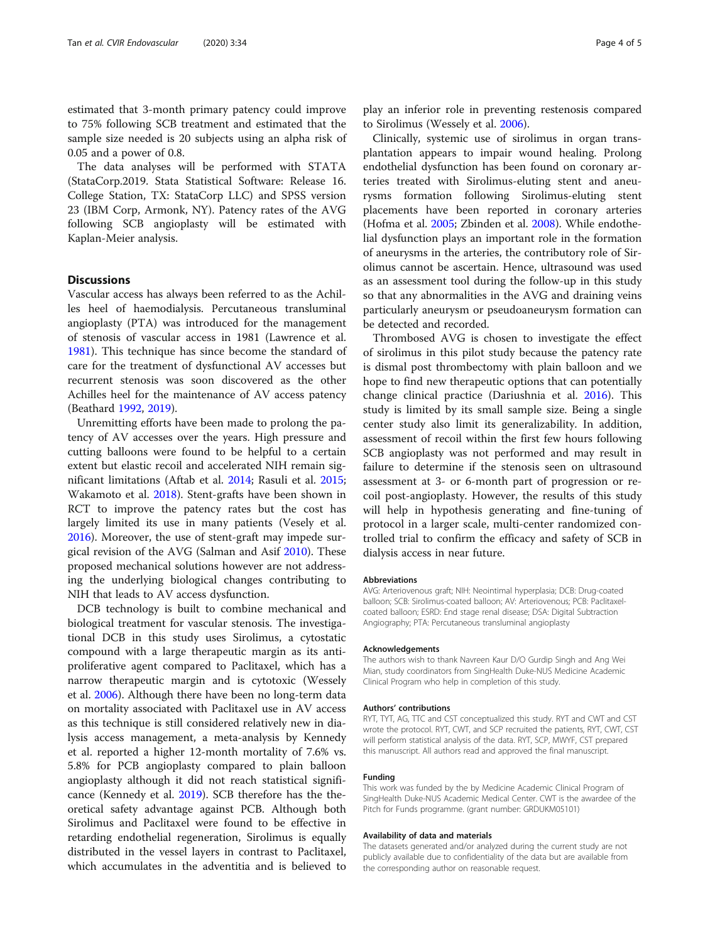estimated that 3-month primary patency could improve to 75% following SCB treatment and estimated that the sample size needed is 20 subjects using an alpha risk of 0.05 and a power of 0.8.

The data analyses will be performed with STATA (StataCorp.2019. Stata Statistical Software: Release 16. College Station, TX: StataCorp LLC) and SPSS version 23 (IBM Corp, Armonk, NY). Patency rates of the AVG following SCB angioplasty will be estimated with Kaplan-Meier analysis.

# **Discussions**

Vascular access has always been referred to as the Achilles heel of haemodialysis. Percutaneous transluminal angioplasty (PTA) was introduced for the management of stenosis of vascular access in 1981 (Lawrence et al. [1981](#page-4-0)). This technique has since become the standard of care for the treatment of dysfunctional AV accesses but recurrent stenosis was soon discovered as the other Achilles heel for the maintenance of AV access patency (Beathard [1992,](#page-4-0) [2019\)](#page-4-0).

Unremitting efforts have been made to prolong the patency of AV accesses over the years. High pressure and cutting balloons were found to be helpful to a certain extent but elastic recoil and accelerated NIH remain significant limitations (Aftab et al. [2014;](#page-4-0) Rasuli et al. [2015](#page-4-0); Wakamoto et al. [2018](#page-4-0)). Stent-grafts have been shown in RCT to improve the patency rates but the cost has largely limited its use in many patients (Vesely et al. [2016](#page-4-0)). Moreover, the use of stent-graft may impede surgical revision of the AVG (Salman and Asif [2010\)](#page-4-0). These proposed mechanical solutions however are not addressing the underlying biological changes contributing to NIH that leads to AV access dysfunction.

DCB technology is built to combine mechanical and biological treatment for vascular stenosis. The investigational DCB in this study uses Sirolimus, a cytostatic compound with a large therapeutic margin as its antiproliferative agent compared to Paclitaxel, which has a narrow therapeutic margin and is cytotoxic (Wessely et al. [2006\)](#page-4-0). Although there have been no long-term data on mortality associated with Paclitaxel use in AV access as this technique is still considered relatively new in dialysis access management, a meta-analysis by Kennedy et al. reported a higher 12-month mortality of 7.6% vs. 5.8% for PCB angioplasty compared to plain balloon angioplasty although it did not reach statistical significance (Kennedy et al. [2019\)](#page-4-0). SCB therefore has the theoretical safety advantage against PCB. Although both Sirolimus and Paclitaxel were found to be effective in retarding endothelial regeneration, Sirolimus is equally distributed in the vessel layers in contrast to Paclitaxel, which accumulates in the adventitia and is believed to

play an inferior role in preventing restenosis compared to Sirolimus (Wessely et al. [2006](#page-4-0)).

Clinically, systemic use of sirolimus in organ transplantation appears to impair wound healing. Prolong endothelial dysfunction has been found on coronary arteries treated with Sirolimus-eluting stent and aneurysms formation following Sirolimus-eluting stent placements have been reported in coronary arteries (Hofma et al. [2005](#page-4-0); Zbinden et al. [2008\)](#page-4-0). While endothelial dysfunction plays an important role in the formation of aneurysms in the arteries, the contributory role of Sirolimus cannot be ascertain. Hence, ultrasound was used as an assessment tool during the follow-up in this study so that any abnormalities in the AVG and draining veins particularly aneurysm or pseudoaneurysm formation can be detected and recorded.

Thrombosed AVG is chosen to investigate the effect of sirolimus in this pilot study because the patency rate is dismal post thrombectomy with plain balloon and we hope to find new therapeutic options that can potentially change clinical practice (Dariushnia et al. [2016\)](#page-4-0). This study is limited by its small sample size. Being a single center study also limit its generalizability. In addition, assessment of recoil within the first few hours following SCB angioplasty was not performed and may result in failure to determine if the stenosis seen on ultrasound assessment at 3- or 6-month part of progression or recoil post-angioplasty. However, the results of this study will help in hypothesis generating and fine-tuning of protocol in a larger scale, multi-center randomized controlled trial to confirm the efficacy and safety of SCB in dialysis access in near future.

#### Abbreviations

AVG: Arteriovenous graft; NIH: Neointimal hyperplasia; DCB: Drug-coated balloon; SCB: Sirolimus-coated balloon; AV: Arteriovenous; PCB: Paclitaxelcoated balloon; ESRD: End stage renal disease; DSA: Digital Subtraction Angiography; PTA: Percutaneous transluminal angioplasty

#### Acknowledgements

The authors wish to thank Navreen Kaur D/O Gurdip Singh and Ang Wei Mian, study coordinators from SingHealth Duke-NUS Medicine Academic Clinical Program who help in completion of this study.

#### Authors' contributions

RYT, TYT, AG, TTC and CST conceptualized this study. RYT and CWT and CST wrote the protocol. RYT, CWT, and SCP recruited the patients, RYT, CWT, CST will perform statistical analysis of the data. RYT, SCP, MWYF, CST prepared this manuscript. All authors read and approved the final manuscript.

#### Funding

This work was funded by the by Medicine Academic Clinical Program of SingHealth Duke-NUS Academic Medical Center. CWT is the awardee of the Pitch for Funds programme. (grant number: GRDUKM05101)

#### Availability of data and materials

The datasets generated and/or analyzed during the current study are not publicly available due to confidentiality of the data but are available from the corresponding author on reasonable request.